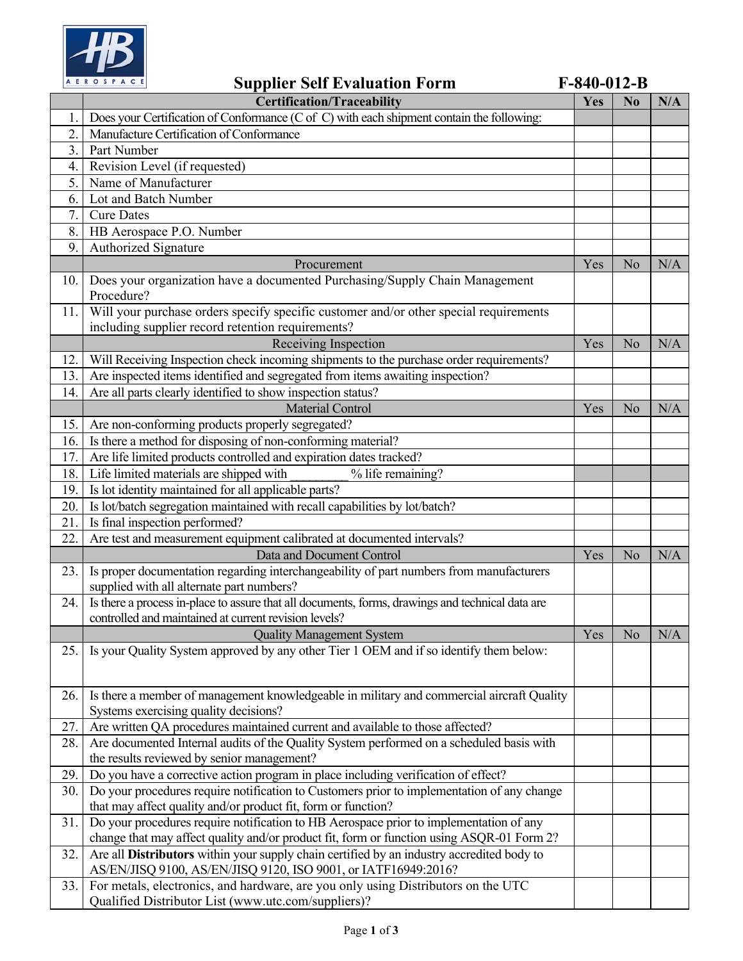

**Supplier Self Evaluation Form F-840-012-B**

|     | <b>Certification/Traceability</b>                                                                | Yes | N <sub>0</sub> | N/A |
|-----|--------------------------------------------------------------------------------------------------|-----|----------------|-----|
| 1.  | Does your Certification of Conformance (C of C) with each shipment contain the following:        |     |                |     |
| 2.  | Manufacture Certification of Conformance                                                         |     |                |     |
| 3.  | Part Number                                                                                      |     |                |     |
| 4.  | Revision Level (if requested)                                                                    |     |                |     |
| 5.  | Name of Manufacturer                                                                             |     |                |     |
| 6.  | Lot and Batch Number                                                                             |     |                |     |
| 7.  | <b>Cure Dates</b>                                                                                |     |                |     |
| 8.  |                                                                                                  |     |                |     |
| 9.  | HB Aerospace P.O. Number                                                                         |     |                |     |
|     | Authorized Signature                                                                             |     |                |     |
|     | Procurement                                                                                      |     | No             | N/A |
| 10. | Does your organization have a documented Purchasing/Supply Chain Management                      |     |                |     |
|     | Procedure?                                                                                       |     |                |     |
| 11. | Will your purchase orders specify specific customer and/or other special requirements            |     |                |     |
|     | including supplier record retention requirements?                                                | Yes |                |     |
|     | Receiving Inspection                                                                             |     | No             | N/A |
| 12. | Will Receiving Inspection check incoming shipments to the purchase order requirements?           |     |                |     |
| 13. | Are inspected items identified and segregated from items awaiting inspection?                    |     |                |     |
| 14. | Are all parts clearly identified to show inspection status?                                      |     |                |     |
|     | <b>Material Control</b>                                                                          | Yes | No             | N/A |
| 15. | Are non-conforming products properly segregated?                                                 |     |                |     |
| 16. | Is there a method for disposing of non-conforming material?                                      |     |                |     |
| 17. | Are life limited products controlled and expiration dates tracked?                               |     |                |     |
| 18. | Life limited materials are shipped with<br>% life remaining?                                     |     |                |     |
| 19. | Is lot identity maintained for all applicable parts?                                             |     |                |     |
| 20. | Is lot/batch segregation maintained with recall capabilities by lot/batch?                       |     |                |     |
| 21. | Is final inspection performed?                                                                   |     |                |     |
| 22. | Are test and measurement equipment calibrated at documented intervals?                           |     |                |     |
|     | Data and Document Control                                                                        |     | No             | N/A |
| 23. | Is proper documentation regarding interchangeability of part numbers from manufacturers          |     |                |     |
|     | supplied with all alternate part numbers?                                                        |     |                |     |
| 24. | Is there a process in-place to assure that all documents, forms, drawings and technical data are |     |                |     |
|     | controlled and maintained at current revision levels?                                            |     |                |     |
|     | <b>Quality Management System</b>                                                                 | Yes | N <sub>o</sub> | N/A |
| 25. | Is your Quality System approved by any other Tier 1 OEM and if so identify them below:           |     |                |     |
|     |                                                                                                  |     |                |     |
|     |                                                                                                  |     |                |     |
| 26. | Is there a member of management knowledgeable in military and commercial aircraft Quality        |     |                |     |
|     | Systems exercising quality decisions?                                                            |     |                |     |
| 27. | Are written QA procedures maintained current and available to those affected?                    |     |                |     |
| 28. | Are documented Internal audits of the Quality System performed on a scheduled basis with         |     |                |     |
|     | the results reviewed by senior management?                                                       |     |                |     |
| 29. | Do you have a corrective action program in place including verification of effect?               |     |                |     |
| 30. | Do your procedures require notification to Customers prior to implementation of any change       |     |                |     |
|     | that may affect quality and/or product fit, form or function?                                    |     |                |     |
| 31. | Do your procedures require notification to HB Aerospace prior to implementation of any           |     |                |     |
|     | change that may affect quality and/or product fit, form or function using ASQR-01 Form 2?        |     |                |     |
| 32. | Are all Distributors within your supply chain certified by an industry accredited body to        |     |                |     |
|     | AS/EN/JISQ 9100, AS/EN/JISQ 9120, ISO 9001, or IATF16949:2016?                                   |     |                |     |
| 33. | For metals, electronics, and hardware, are you only using Distributors on the UTC                |     |                |     |
|     | Qualified Distributor List (www.utc.com/suppliers)?                                              |     |                |     |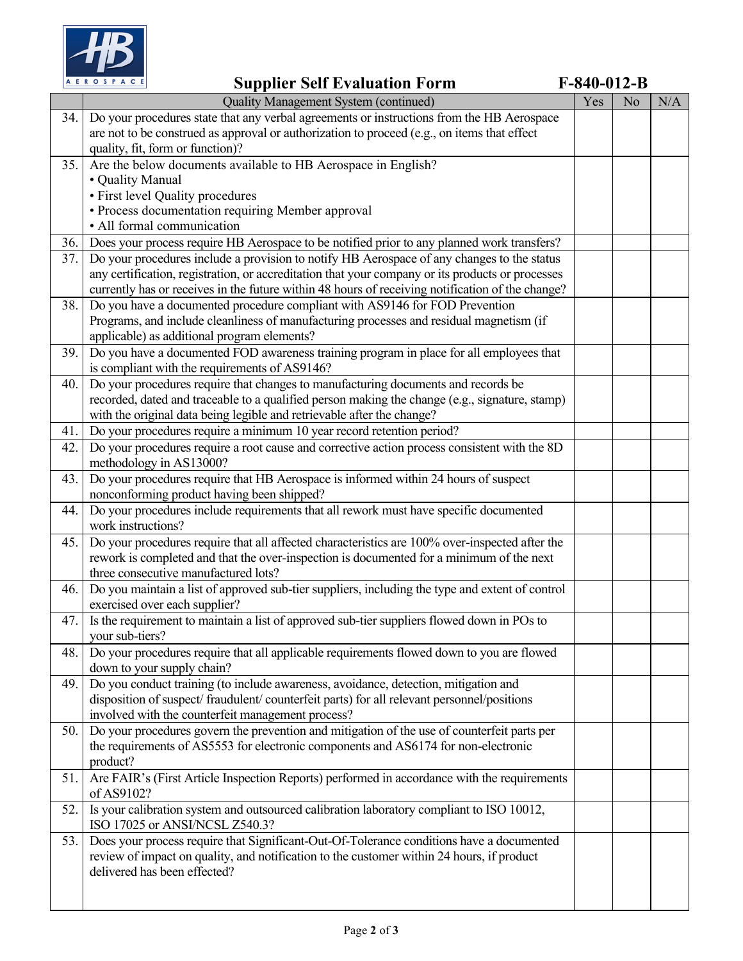

|            | AEROSPACE<br><b>Supplier Self Evaluation Form</b>                                                                                                                                              |     | $F-840-012-B$ |     |
|------------|------------------------------------------------------------------------------------------------------------------------------------------------------------------------------------------------|-----|---------------|-----|
|            | Quality Management System (continued)                                                                                                                                                          | Yes | No            | N/A |
| 34.        | Do your procedures state that any verbal agreements or instructions from the HB Aerospace                                                                                                      |     |               |     |
|            | are not to be construed as approval or authorization to proceed (e.g., on items that effect                                                                                                    |     |               |     |
|            | quality, fit, form or function)?                                                                                                                                                               |     |               |     |
| 35.        | Are the below documents available to HB Aerospace in English?                                                                                                                                  |     |               |     |
|            | • Quality Manual                                                                                                                                                                               |     |               |     |
|            | • First level Quality procedures                                                                                                                                                               |     |               |     |
|            | • Process documentation requiring Member approval                                                                                                                                              |     |               |     |
|            | • All formal communication                                                                                                                                                                     |     |               |     |
| 36.<br>37. | Does your process require HB Aerospace to be notified prior to any planned work transfers?                                                                                                     |     |               |     |
|            | Do your procedures include a provision to notify HB Aerospace of any changes to the status<br>any certification, registration, or accreditation that your company or its products or processes |     |               |     |
|            | currently has or receives in the future within 48 hours of receiving notification of the change?                                                                                               |     |               |     |
| 38.        | Do you have a documented procedure compliant with AS9146 for FOD Prevention                                                                                                                    |     |               |     |
|            | Programs, and include cleanliness of manufacturing processes and residual magnetism (if                                                                                                        |     |               |     |
|            | applicable) as additional program elements?                                                                                                                                                    |     |               |     |
| 39.        | Do you have a documented FOD awareness training program in place for all employees that                                                                                                        |     |               |     |
|            | is compliant with the requirements of AS9146?                                                                                                                                                  |     |               |     |
| 40.        | Do your procedures require that changes to manufacturing documents and records be                                                                                                              |     |               |     |
|            | recorded, dated and traceable to a qualified person making the change (e.g., signature, stamp)                                                                                                 |     |               |     |
|            | with the original data being legible and retrievable after the change?                                                                                                                         |     |               |     |
| 41.        | Do your procedures require a minimum 10 year record retention period?                                                                                                                          |     |               |     |
| 42.        | Do your procedures require a root cause and corrective action process consistent with the 8D                                                                                                   |     |               |     |
|            | methodology in AS13000?                                                                                                                                                                        |     |               |     |
| 43.        | Do your procedures require that HB Aerospace is informed within 24 hours of suspect                                                                                                            |     |               |     |
|            | nonconforming product having been shipped?                                                                                                                                                     |     |               |     |
| 44.        | Do your procedures include requirements that all rework must have specific documented<br>work instructions?                                                                                    |     |               |     |
| 45.        | Do your procedures require that all affected characteristics are 100% over-inspected after the                                                                                                 |     |               |     |
|            | rework is completed and that the over-inspection is documented for a minimum of the next                                                                                                       |     |               |     |
|            | three consecutive manufactured lots?                                                                                                                                                           |     |               |     |
| 46.        | Do you maintain a list of approved sub-tier suppliers, including the type and extent of control                                                                                                |     |               |     |
|            | exercised over each supplier?                                                                                                                                                                  |     |               |     |
| 47.        | Is the requirement to maintain a list of approved sub-tier suppliers flowed down in POs to                                                                                                     |     |               |     |
|            | your sub-tiers?                                                                                                                                                                                |     |               |     |
| 48.        | Do your procedures require that all applicable requirements flowed down to you are flowed                                                                                                      |     |               |     |
|            | down to your supply chain?                                                                                                                                                                     |     |               |     |
| 49.        | Do you conduct training (to include awareness, avoidance, detection, mitigation and                                                                                                            |     |               |     |
|            | disposition of suspect/fraudulent/counterfeit parts) for all relevant personnel/positions                                                                                                      |     |               |     |
|            | involved with the counterfeit management process?                                                                                                                                              |     |               |     |
| 50.        | Do your procedures govern the prevention and mitigation of the use of counterfeit parts per                                                                                                    |     |               |     |
|            | the requirements of AS5553 for electronic components and AS6174 for non-electronic                                                                                                             |     |               |     |
| 51.        | product?<br>Are FAIR's (First Article Inspection Reports) performed in accordance with the requirements                                                                                        |     |               |     |
|            | of AS9102?                                                                                                                                                                                     |     |               |     |
| 52.        | Is your calibration system and outsourced calibration laboratory compliant to ISO 10012,<br>ISO 17025 or ANSI/NCSL Z540.3?                                                                     |     |               |     |
| 53.        | Does your process require that Significant-Out-Of-Tolerance conditions have a documented                                                                                                       |     |               |     |
|            | review of impact on quality, and notification to the customer within 24 hours, if product                                                                                                      |     |               |     |
|            | delivered has been effected?                                                                                                                                                                   |     |               |     |
|            |                                                                                                                                                                                                |     |               |     |
|            |                                                                                                                                                                                                |     |               |     |